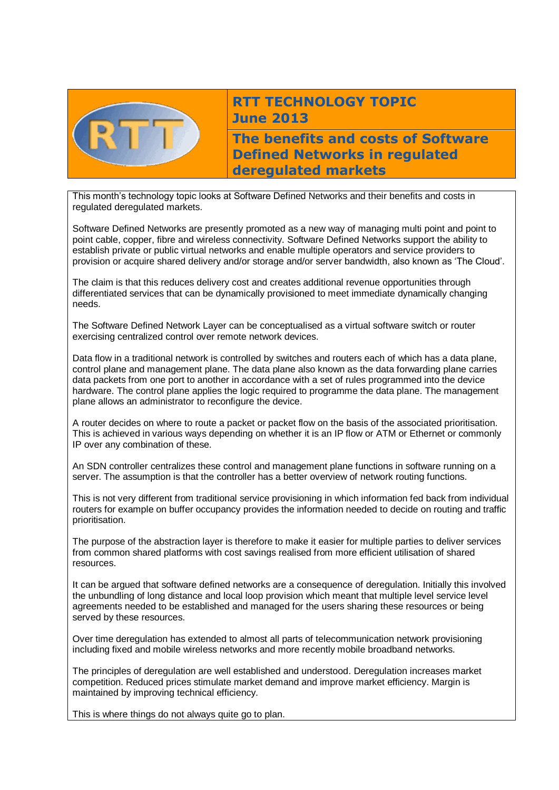

# **RTT TECHNOLOGY TOPIC June 2013**

**The benefits and costs of Software Defined Networks in regulated deregulated markets** 

This month's technology topic looks at Software Defined Networks and their benefits and costs in regulated deregulated markets.

Software Defined Networks are presently promoted as a new way of managing multi point and point to point cable, copper, fibre and wireless connectivity. Software Defined Networks support the ability to establish private or public virtual networks and enable multiple operators and service providers to provision or acquire shared delivery and/or storage and/or server bandwidth, also known as 'The Cloud'.

The claim is that this reduces delivery cost and creates additional revenue opportunities through differentiated services that can be dynamically provisioned to meet immediate dynamically changing needs.

The Software Defined Network Layer can be conceptualised as a virtual software switch or router exercising centralized control over remote network devices.

Data flow in a traditional network is controlled by switches and routers each of which has a data plane, control plane and management plane. The data plane also known as the data forwarding plane carries data packets from one port to another in accordance with a set of rules programmed into the device hardware. The control plane applies the logic required to programme the data plane. The management plane allows an administrator to reconfigure the device.

A router decides on where to route a packet or packet flow on the basis of the associated prioritisation. This is achieved in various ways depending on whether it is an IP flow or ATM or Ethernet or commonly IP over any combination of these.

An SDN controller centralizes these control and management plane functions in software running on a server. The assumption is that the controller has a better overview of network routing functions.

This is not very different from traditional service provisioning in which information fed back from individual routers for example on buffer occupancy provides the information needed to decide on routing and traffic prioritisation.

The purpose of the abstraction layer is therefore to make it easier for multiple parties to deliver services from common shared platforms with cost savings realised from more efficient utilisation of shared resources.

It can be argued that software defined networks are a consequence of deregulation. Initially this involved the unbundling of long distance and local loop provision which meant that multiple level service level agreements needed to be established and managed for the users sharing these resources or being served by these resources.

Over time deregulation has extended to almost all parts of telecommunication network provisioning including fixed and mobile wireless networks and more recently mobile broadband networks.

The principles of deregulation are well established and understood. Deregulation increases market competition. Reduced prices stimulate market demand and improve market efficiency. Margin is maintained by improving technical efficiency.

This is where things do not always quite go to plan.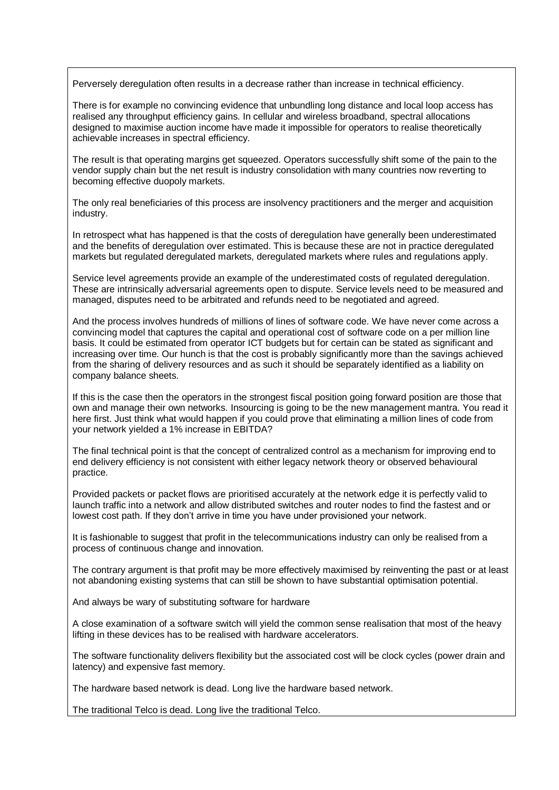Perversely deregulation often results in a decrease rather than increase in technical efficiency.

There is for example no convincing evidence that unbundling long distance and local loop access has realised any throughput efficiency gains. In cellular and wireless broadband, spectral allocations designed to maximise auction income have made it impossible for operators to realise theoretically achievable increases in spectral efficiency.

The result is that operating margins get squeezed. Operators successfully shift some of the pain to the vendor supply chain but the net result is industry consolidation with many countries now reverting to becoming effective duopoly markets.

The only real beneficiaries of this process are insolvency practitioners and the merger and acquisition industry.

In retrospect what has happened is that the costs of deregulation have generally been underestimated and the benefits of deregulation over estimated. This is because these are not in practice deregulated markets but regulated deregulated markets, deregulated markets where rules and regulations apply.

Service level agreements provide an example of the underestimated costs of regulated deregulation. These are intrinsically adversarial agreements open to dispute. Service levels need to be measured and managed, disputes need to be arbitrated and refunds need to be negotiated and agreed.

And the process involves hundreds of millions of lines of software code. We have never come across a convincing model that captures the capital and operational cost of software code on a per million line basis. It could be estimated from operator ICT budgets but for certain can be stated as significant and increasing over time. Our hunch is that the cost is probably significantly more than the savings achieved from the sharing of delivery resources and as such it should be separately identified as a liability on company balance sheets.

If this is the case then the operators in the strongest fiscal position going forward position are those that own and manage their own networks. Insourcing is going to be the new management mantra. You read it here first. Just think what would happen if you could prove that eliminating a million lines of code from your network yielded a 1% increase in EBITDA?

The final technical point is that the concept of centralized control as a mechanism for improving end to end delivery efficiency is not consistent with either legacy network theory or observed behavioural practice.

Provided packets or packet flows are prioritised accurately at the network edge it is perfectly valid to launch traffic into a network and allow distributed switches and router nodes to find the fastest and or lowest cost path. If they don't arrive in time you have under provisioned your network.

It is fashionable to suggest that profit in the telecommunications industry can only be realised from a process of continuous change and innovation.

The contrary argument is that profit may be more effectively maximised by reinventing the past or at least not abandoning existing systems that can still be shown to have substantial optimisation potential.

And always be wary of substituting software for hardware

A close examination of a software switch will yield the common sense realisation that most of the heavy lifting in these devices has to be realised with hardware accelerators.

The software functionality delivers flexibility but the associated cost will be clock cycles (power drain and latency) and expensive fast memory.

The hardware based network is dead. Long live the hardware based network.

The traditional Telco is dead. Long live the traditional Telco.